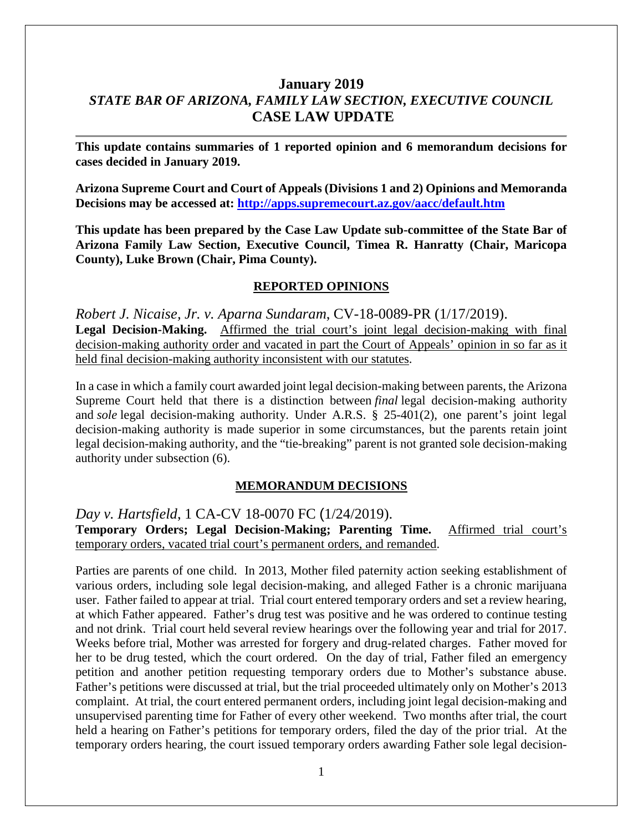# **January 2019** *STATE BAR OF ARIZONA, FAMILY LAW SECTION, EXECUTIVE COUNCIL* **CASE LAW UPDATE**

**This update contains summaries of 1 reported opinion and 6 memorandum decisions for cases decided in January 2019.**

**Arizona Supreme Court and Court of Appeals (Divisions 1 and 2) Opinions and Memoranda Decisions may be accessed at: <http://apps.supremecourt.az.gov/aacc/default.htm>**

**This update has been prepared by the Case Law Update sub-committee of the State Bar of Arizona Family Law Section, Executive Council, Timea R. Hanratty (Chair, Maricopa County), Luke Brown (Chair, Pima County).**

#### **REPORTED OPINIONS**

*Robert J. Nicaise, Jr. v. Aparna Sundaram*, CV-18-0089-PR (1/17/2019). Legal Decision-Making. Affirmed the trial court's joint legal decision-making with final decision-making authority order and vacated in part the Court of Appeals' opinion in so far as it held final decision-making authority inconsistent with our statutes.

In a case in which a family court awarded joint legal decision-making between parents, the Arizona Supreme Court held that there is a distinction between *final* legal decision-making authority and *sole* legal decision-making authority. Under A.R.S. § 25-401(2), one parent's joint legal decision-making authority is made superior in some circumstances, but the parents retain joint legal decision-making authority, and the "tie-breaking" parent is not granted sole decision-making authority under subsection (6).

#### **MEMORANDUM DECISIONS**

*Day v. Hartsfield*, 1 CA-CV 18-0070 FC (1/24/2019).

**Temporary Orders; Legal Decision-Making; Parenting Time.** Affirmed trial court's temporary orders, vacated trial court's permanent orders, and remanded.

Parties are parents of one child. In 2013, Mother filed paternity action seeking establishment of various orders, including sole legal decision-making, and alleged Father is a chronic marijuana user. Father failed to appear at trial. Trial court entered temporary orders and set a review hearing, at which Father appeared. Father's drug test was positive and he was ordered to continue testing and not drink. Trial court held several review hearings over the following year and trial for 2017. Weeks before trial, Mother was arrested for forgery and drug-related charges. Father moved for her to be drug tested, which the court ordered. On the day of trial, Father filed an emergency petition and another petition requesting temporary orders due to Mother's substance abuse. Father's petitions were discussed at trial, but the trial proceeded ultimately only on Mother's 2013 complaint. At trial, the court entered permanent orders, including joint legal decision-making and unsupervised parenting time for Father of every other weekend. Two months after trial, the court held a hearing on Father's petitions for temporary orders, filed the day of the prior trial. At the temporary orders hearing, the court issued temporary orders awarding Father sole legal decision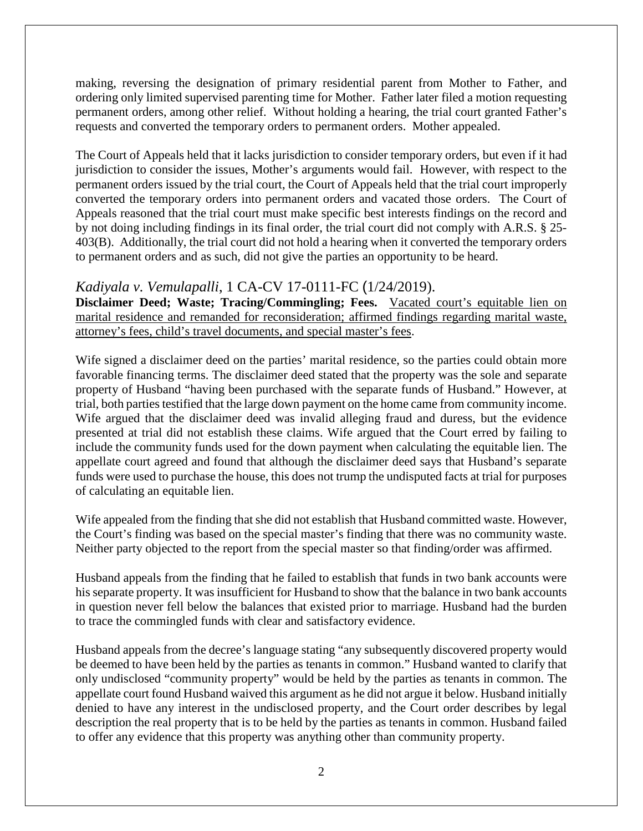making, reversing the designation of primary residential parent from Mother to Father, and ordering only limited supervised parenting time for Mother. Father later filed a motion requesting permanent orders, among other relief. Without holding a hearing, the trial court granted Father's requests and converted the temporary orders to permanent orders. Mother appealed.

The Court of Appeals held that it lacks jurisdiction to consider temporary orders, but even if it had jurisdiction to consider the issues, Mother's arguments would fail. However, with respect to the permanent orders issued by the trial court, the Court of Appeals held that the trial court improperly converted the temporary orders into permanent orders and vacated those orders. The Court of Appeals reasoned that the trial court must make specific best interests findings on the record and by not doing including findings in its final order, the trial court did not comply with A.R.S. § 25- 403(B). Additionally, the trial court did not hold a hearing when it converted the temporary orders to permanent orders and as such, did not give the parties an opportunity to be heard.

#### *Kadiyala v. Vemulapalli*, 1 CA-CV 17-0111-FC (1/24/2019).

**Disclaimer Deed; Waste; Tracing/Commingling; Fees.** Vacated court's equitable lien on marital residence and remanded for reconsideration; affirmed findings regarding marital waste, attorney's fees, child's travel documents, and special master's fees.

Wife signed a disclaimer deed on the parties' marital residence, so the parties could obtain more favorable financing terms. The disclaimer deed stated that the property was the sole and separate property of Husband "having been purchased with the separate funds of Husband." However, at trial, both parties testified that the large down payment on the home came from community income. Wife argued that the disclaimer deed was invalid alleging fraud and duress, but the evidence presented at trial did not establish these claims. Wife argued that the Court erred by failing to include the community funds used for the down payment when calculating the equitable lien. The appellate court agreed and found that although the disclaimer deed says that Husband's separate funds were used to purchase the house, this does not trump the undisputed facts at trial for purposes of calculating an equitable lien.

Wife appealed from the finding that she did not establish that Husband committed waste. However, the Court's finding was based on the special master's finding that there was no community waste. Neither party objected to the report from the special master so that finding/order was affirmed.

Husband appeals from the finding that he failed to establish that funds in two bank accounts were his separate property. It was insufficient for Husband to show that the balance in two bank accounts in question never fell below the balances that existed prior to marriage. Husband had the burden to trace the commingled funds with clear and satisfactory evidence.

Husband appeals from the decree's language stating "any subsequently discovered property would be deemed to have been held by the parties as tenants in common." Husband wanted to clarify that only undisclosed "community property" would be held by the parties as tenants in common. The appellate court found Husband waived this argument as he did not argue it below. Husband initially denied to have any interest in the undisclosed property, and the Court order describes by legal description the real property that is to be held by the parties as tenants in common. Husband failed to offer any evidence that this property was anything other than community property.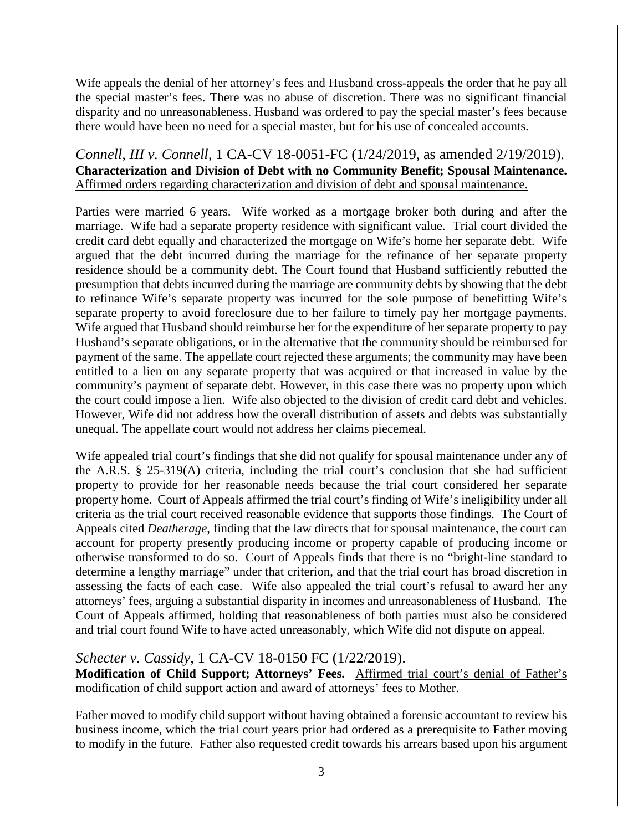Wife appeals the denial of her attorney's fees and Husband cross-appeals the order that he pay all the special master's fees. There was no abuse of discretion. There was no significant financial disparity and no unreasonableness. Husband was ordered to pay the special master's fees because there would have been no need for a special master, but for his use of concealed accounts.

### *Connell, III v. Connell*, 1 CA-CV 18-0051-FC (1/24/2019, as amended 2/19/2019). **Characterization and Division of Debt with no Community Benefit; Spousal Maintenance.**  Affirmed orders regarding characterization and division of debt and spousal maintenance.

Parties were married 6 years. Wife worked as a mortgage broker both during and after the marriage. Wife had a separate property residence with significant value. Trial court divided the credit card debt equally and characterized the mortgage on Wife's home her separate debt. Wife argued that the debt incurred during the marriage for the refinance of her separate property residence should be a community debt. The Court found that Husband sufficiently rebutted the presumption that debts incurred during the marriage are community debts by showing that the debt to refinance Wife's separate property was incurred for the sole purpose of benefitting Wife's separate property to avoid foreclosure due to her failure to timely pay her mortgage payments. Wife argued that Husband should reimburse her for the expenditure of her separate property to pay Husband's separate obligations, or in the alternative that the community should be reimbursed for payment of the same. The appellate court rejected these arguments; the community may have been entitled to a lien on any separate property that was acquired or that increased in value by the community's payment of separate debt. However, in this case there was no property upon which the court could impose a lien. Wife also objected to the division of credit card debt and vehicles. However, Wife did not address how the overall distribution of assets and debts was substantially unequal. The appellate court would not address her claims piecemeal.

Wife appealed trial court's findings that she did not qualify for spousal maintenance under any of the A.R.S. § 25-319(A) criteria, including the trial court's conclusion that she had sufficient property to provide for her reasonable needs because the trial court considered her separate property home. Court of Appeals affirmed the trial court's finding of Wife's ineligibility under all criteria as the trial court received reasonable evidence that supports those findings. The Court of Appeals cited *Deatherage*, finding that the law directs that for spousal maintenance, the court can account for property presently producing income or property capable of producing income or otherwise transformed to do so. Court of Appeals finds that there is no "bright-line standard to determine a lengthy marriage" under that criterion, and that the trial court has broad discretion in assessing the facts of each case. Wife also appealed the trial court's refusal to award her any attorneys' fees, arguing a substantial disparity in incomes and unreasonableness of Husband. The Court of Appeals affirmed, holding that reasonableness of both parties must also be considered and trial court found Wife to have acted unreasonably, which Wife did not dispute on appeal.

### *Schecter v. Cassidy*, 1 CA-CV 18-0150 FC (1/22/2019).

**Modification of Child Support; Attorneys' Fees.** Affirmed trial court's denial of Father's modification of child support action and award of attorneys' fees to Mother.

Father moved to modify child support without having obtained a forensic accountant to review his business income, which the trial court years prior had ordered as a prerequisite to Father moving to modify in the future. Father also requested credit towards his arrears based upon his argument